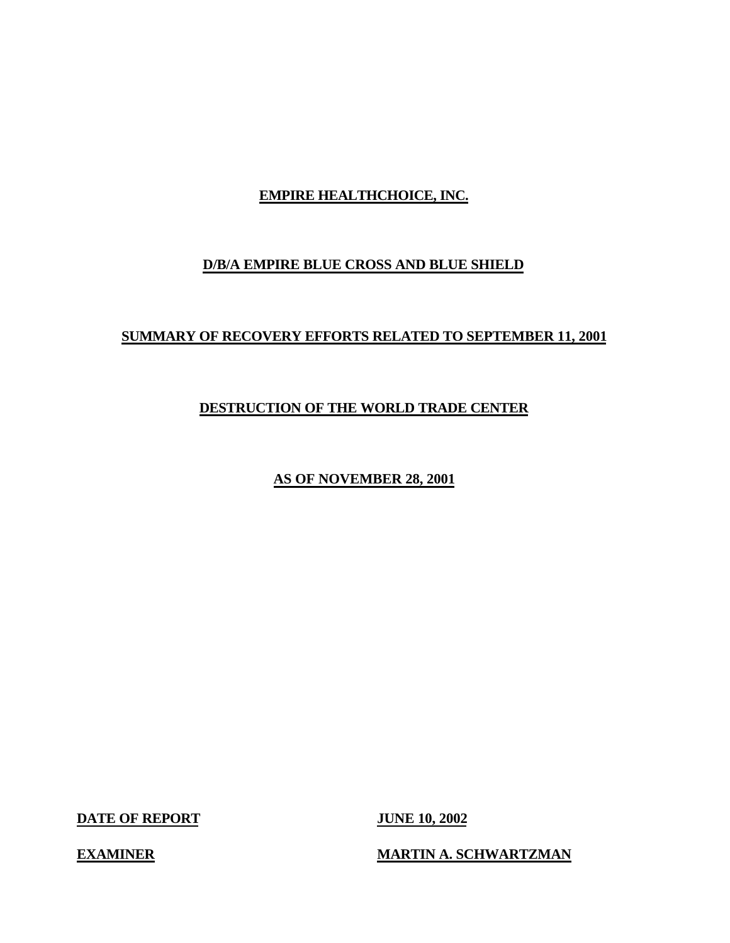# **EMPIRE HEALTHCHOICE, INC.**

# **D/B/A EMPIRE BLUE CROSS AND BLUE SHIELD**

# **SUMMARY OF RECOVERY EFFORTS RELATED TO SEPTEMBER 11, 2001**

# **DESTRUCTION OF THE WORLD TRADE CENTER**

**AS OF NOVEMBER 28, 2001** 

**DATE OF REPORT JUNE 10, 2002** 

**EXAMINER MARTIN A. SCHWARTZMAN**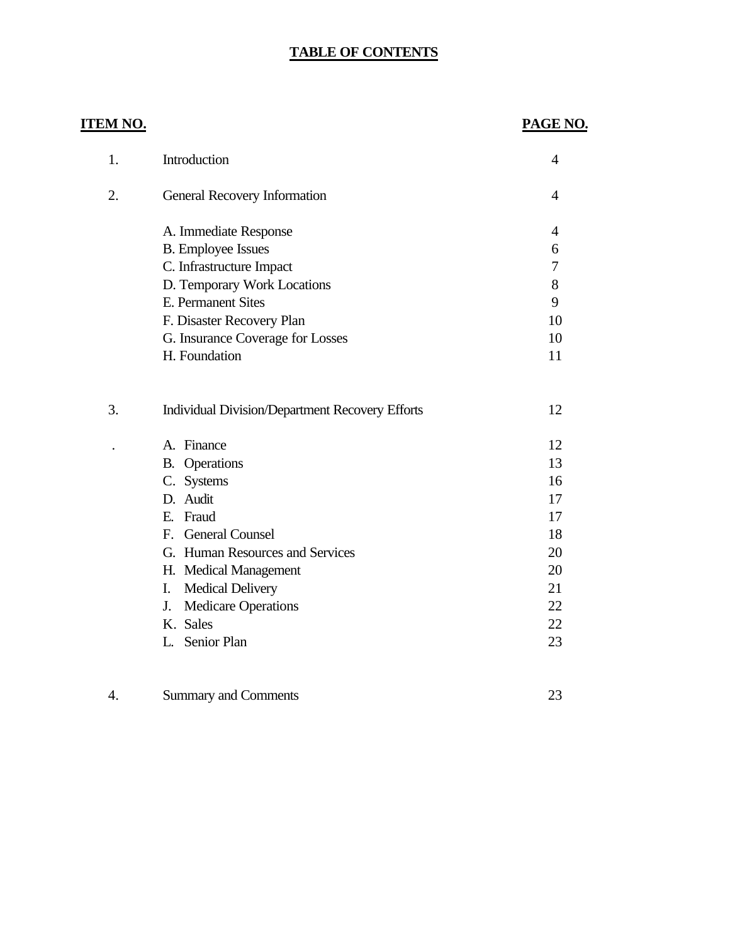# **TABLE OF CONTENTS**

# **ITEM NO.**

# **PAGE NO.**

23

| 1. | Introduction                                           | $\overline{4}$ |
|----|--------------------------------------------------------|----------------|
| 2. | <b>General Recovery Information</b>                    | 4              |
|    | A. Immediate Response                                  | $\overline{4}$ |
|    | <b>B.</b> Employee Issues                              | 6              |
|    | C. Infrastructure Impact                               | 7              |
|    | D. Temporary Work Locations                            | 8              |
|    | E. Permanent Sites                                     | 9              |
|    | F. Disaster Recovery Plan                              | 10             |
|    | G. Insurance Coverage for Losses                       | 10             |
|    | H. Foundation                                          | 11             |
| 3. | <b>Individual Division/Department Recovery Efforts</b> | 12             |
|    | A. Finance                                             | 12             |
|    | <b>B.</b> Operations                                   | 13             |
|    | C. Systems                                             | 16             |
|    | D. Audit                                               | 17             |
|    | E. Fraud                                               | 17             |
|    | F. General Counsel                                     | 18             |
|    | G. Human Resources and Services                        | 20             |
|    | H. Medical Management                                  | 20             |
|    | <b>Medical Delivery</b><br>I.                          | 21             |
|    | <b>Medicare Operations</b><br>J.                       | 22             |
|    | K. Sales                                               | 22             |
|    | L. Senior Plan                                         | 23             |
|    |                                                        |                |

|  | Summary and Comments |
|--|----------------------|
|--|----------------------|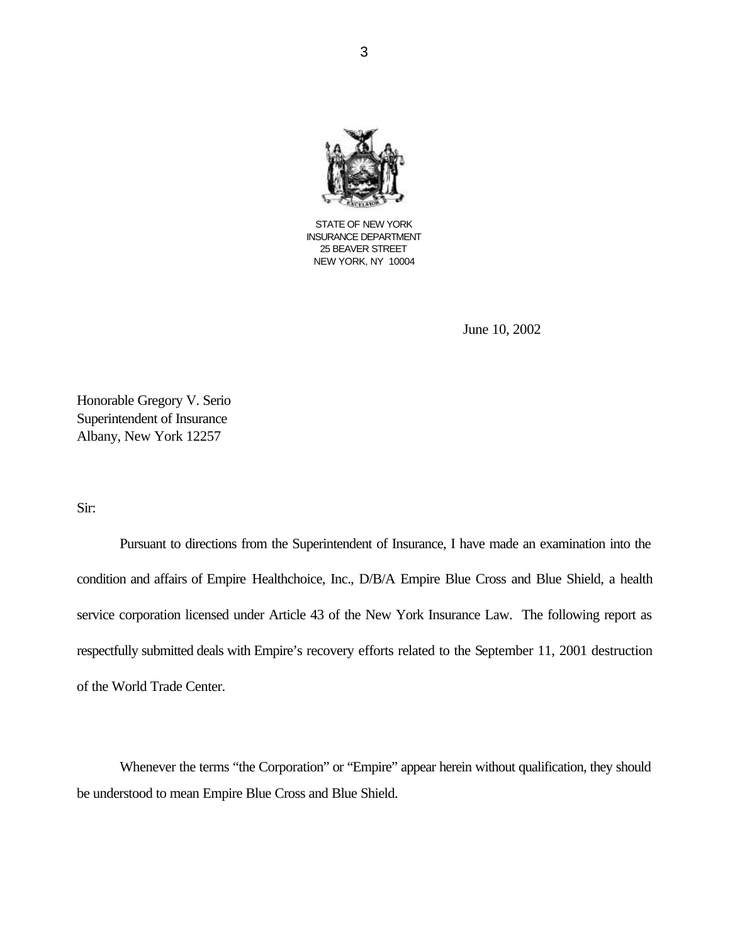

STATE OF NEW YORK INSURANCE DEPARTMENT 25 BEAVER STREET NEW YORK, NY 10004

June 10, 2002

Honorable Gregory V. Serio Superintendent of Insurance Albany, New York 12257

Sir:

Pursuant to directions from the Superintendent of Insurance, I have made an examination into the condition and affairs of Empire Healthchoice, Inc., D/B/A Empire Blue Cross and Blue Shield, a health service corporation licensed under Article 43 of the New York Insurance Law. The following report as respectfully submitted deals with Empire's recovery efforts related to the September 11, 2001 destruction of the World Trade Center.

Whenever the terms "the Corporation" or "Empire" appear herein without qualification, they should be understood to mean Empire Blue Cross and Blue Shield.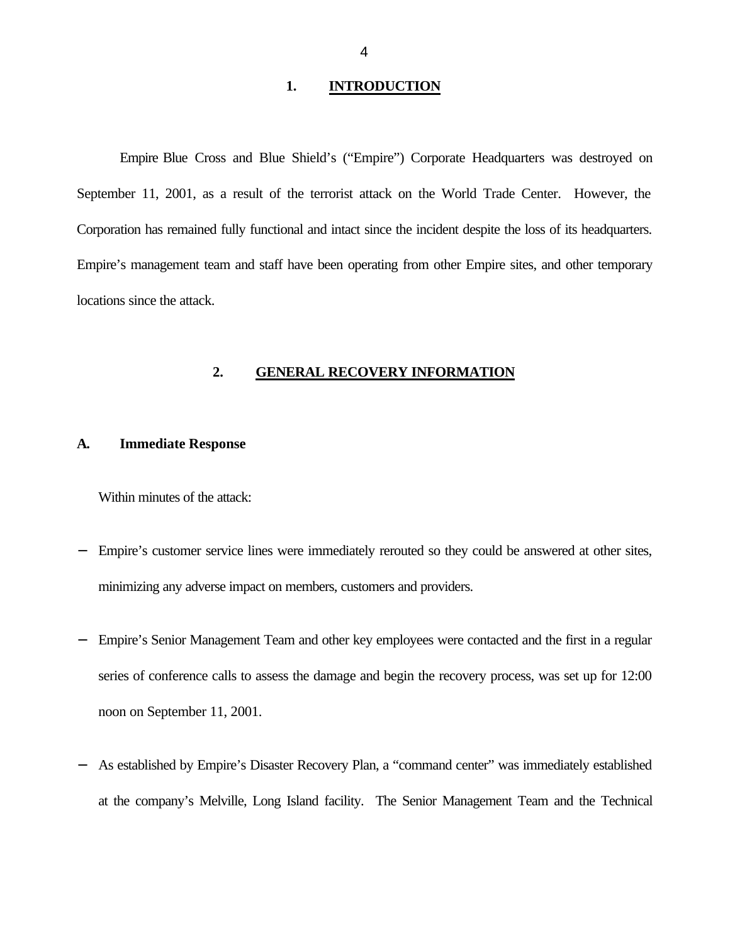## **1. INTRODUCTION**

Empire Blue Cross and Blue Shield's ("Empire") Corporate Headquarters was destroyed on September 11, 2001, as a result of the terrorist attack on the World Trade Center. However, the Corporation has remained fully functional and intact since the incident despite the loss of its headquarters. Empire's management team and staff have been operating from other Empire sites, and other temporary locations since the attack.

#### **2. GENERAL RECOVERY INFORMATION**

#### **A. Immediate Response**

Within minutes of the attack:

- Empire's customer service lines were immediately rerouted so they could be answered at other sites, minimizing any adverse impact on members, customers and providers.
- Empire's Senior Management Team and other key employees were contacted and the first in a regular series of conference calls to assess the damage and begin the recovery process, was set up for 12:00 noon on September 11, 2001.
- As established by Empire's Disaster Recovery Plan, a "command center" was immediately established at the company's Melville, Long Island facility. The Senior Management Team and the Technical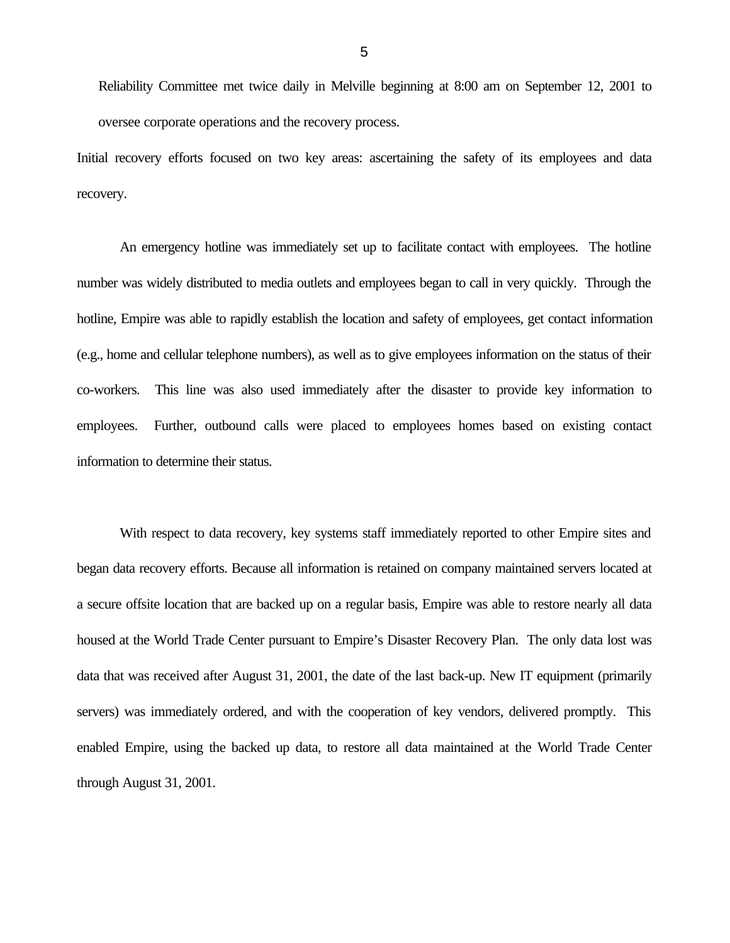Reliability Committee met twice daily in Melville beginning at 8:00 am on September 12, 2001 to oversee corporate operations and the recovery process.

Initial recovery efforts focused on two key areas: ascertaining the safety of its employees and data recovery.

An emergency hotline was immediately set up to facilitate contact with employees. The hotline number was widely distributed to media outlets and employees began to call in very quickly. Through the hotline, Empire was able to rapidly establish the location and safety of employees, get contact information (e.g., home and cellular telephone numbers), as well as to give employees information on the status of their co-workers. This line was also used immediately after the disaster to provide key information to employees. Further, outbound calls were placed to employees homes based on existing contact information to determine their status.

With respect to data recovery, key systems staff immediately reported to other Empire sites and began data recovery efforts. Because all information is retained on company maintained servers located at a secure offsite location that are backed up on a regular basis, Empire was able to restore nearly all data housed at the World Trade Center pursuant to Empire's Disaster Recovery Plan. The only data lost was data that was received after August 31, 2001, the date of the last back-up. New IT equipment (primarily servers) was immediately ordered, and with the cooperation of key vendors, delivered promptly. This enabled Empire, using the backed up data, to restore all data maintained at the World Trade Center through August 31, 2001.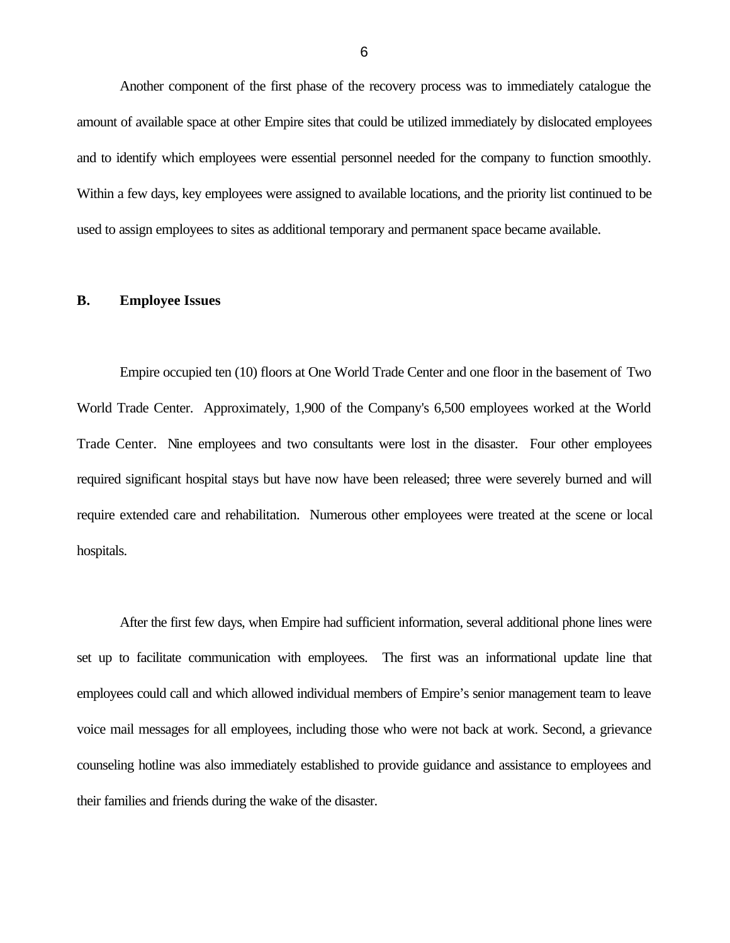Another component of the first phase of the recovery process was to immediately catalogue the amount of available space at other Empire sites that could be utilized immediately by dislocated employees and to identify which employees were essential personnel needed for the company to function smoothly. Within a few days, key employees were assigned to available locations, and the priority list continued to be used to assign employees to sites as additional temporary and permanent space became available.

#### **B. Employee Issues**

Empire occupied ten (10) floors at One World Trade Center and one floor in the basement of Two World Trade Center. Approximately, 1,900 of the Company's 6,500 employees worked at the World Trade Center. Nine employees and two consultants were lost in the disaster. Four other employees required significant hospital stays but have now have been released; three were severely burned and will require extended care and rehabilitation. Numerous other employees were treated at the scene or local hospitals.

After the first few days, when Empire had sufficient information, several additional phone lines were set up to facilitate communication with employees. The first was an informational update line that employees could call and which allowed individual members of Empire's senior management team to leave voice mail messages for all employees, including those who were not back at work. Second, a grievance counseling hotline was also immediately established to provide guidance and assistance to employees and their families and friends during the wake of the disaster.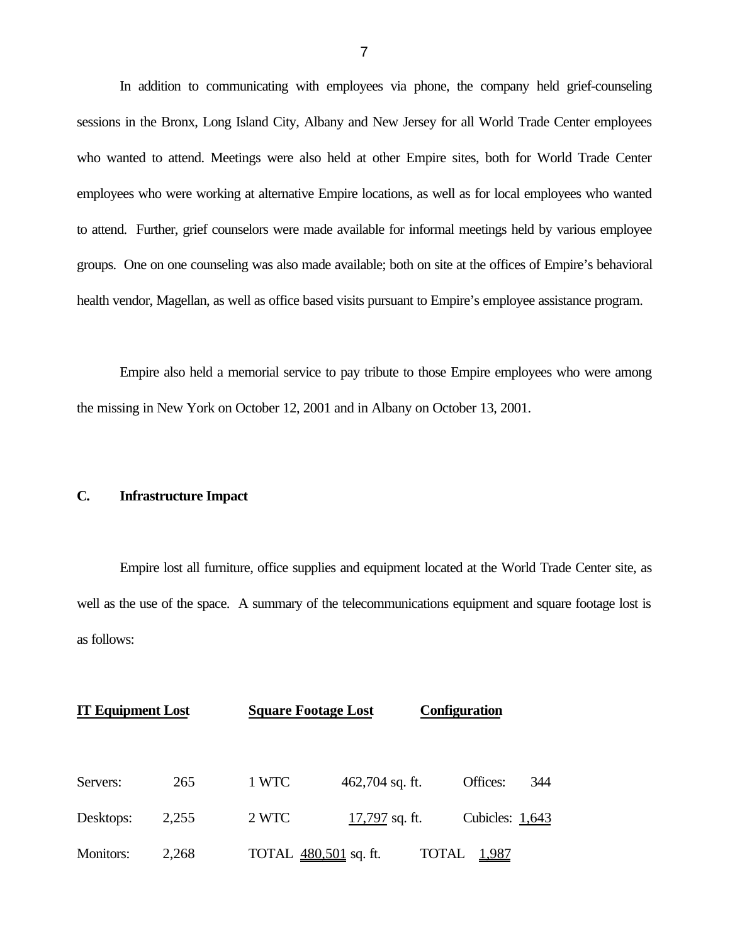In addition to communicating with employees via phone, the company held grief-counseling sessions in the Bronx, Long Island City, Albany and New Jersey for all World Trade Center employees who wanted to attend. Meetings were also held at other Empire sites, both for World Trade Center employees who were working at alternative Empire locations, as well as for local employees who wanted to attend. Further, grief counselors were made available for informal meetings held by various employee groups. One on one counseling was also made available; both on site at the offices of Empire's behavioral health vendor, Magellan, as well as office based visits pursuant to Empire's employee assistance program.

Empire also held a memorial service to pay tribute to those Empire employees who were among the missing in New York on October 12, 2001 and in Albany on October 13, 2001.

## **C. Infrastructure Impact**

Empire lost all furniture, office supplies and equipment located at the World Trade Center site, as well as the use of the space. A summary of the telecommunications equipment and square footage lost is as follows:

| <b>IT Equipment Lost</b> |       | <b>Square Footage Lost</b> |                 | <b>Configuration</b>         |     |
|--------------------------|-------|----------------------------|-----------------|------------------------------|-----|
| Servers:                 | 265   | 1 WTC                      | 462,704 sq. ft. | Offices:                     | 344 |
| Desktops:                | 2,255 | 2 WTC                      | 17,797 sq. ft.  | Cubicles: $1,643$            |     |
| Monitors:                | 2,268 | TOTAL 480,501 sq. ft.      |                 | <b>TOTAL</b><br><u>1,987</u> |     |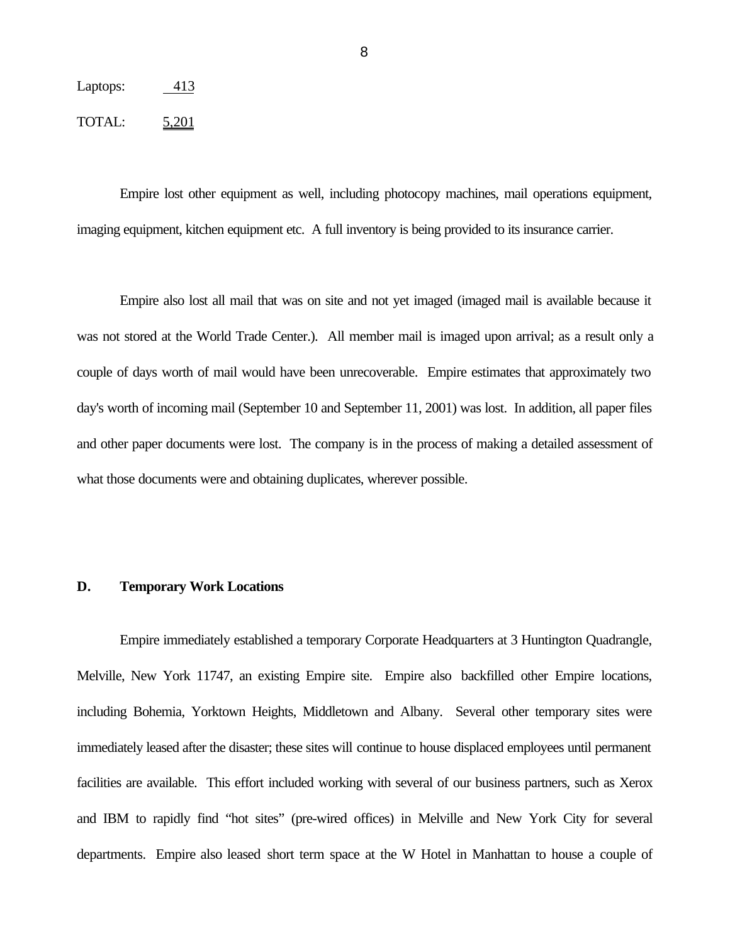# Laptops: 413

#### TOTAL: 5,201

Empire lost other equipment as well, including photocopy machines, mail operations equipment, imaging equipment, kitchen equipment etc. A full inventory is being provided to its insurance carrier.

Empire also lost all mail that was on site and not yet imaged (imaged mail is available because it was not stored at the World Trade Center.). All member mail is imaged upon arrival; as a result only a couple of days worth of mail would have been unrecoverable. Empire estimates that approximately two day's worth of incoming mail (September 10 and September 11, 2001) was lost. In addition, all paper files and other paper documents were lost. The company is in the process of making a detailed assessment of what those documents were and obtaining duplicates, wherever possible.

## **D. Temporary Work Locations**

Empire immediately established a temporary Corporate Headquarters at 3 Huntington Quadrangle, Melville, New York 11747, an existing Empire site. Empire also backfilled other Empire locations, including Bohemia, Yorktown Heights, Middletown and Albany. Several other temporary sites were immediately leased after the disaster; these sites will continue to house displaced employees until permanent facilities are available. This effort included working with several of our business partners, such as Xerox and IBM to rapidly find "hot sites" (pre-wired offices) in Melville and New York City for several departments. Empire also leased short term space at the W Hotel in Manhattan to house a couple of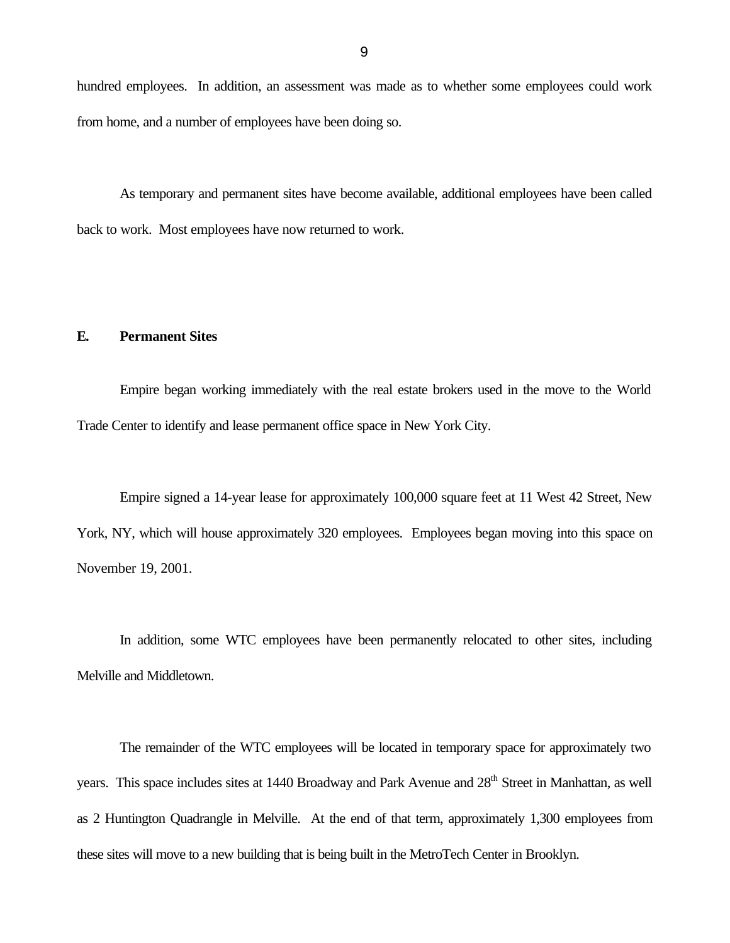hundred employees. In addition, an assessment was made as to whether some employees could work from home, and a number of employees have been doing so.

As temporary and permanent sites have become available, additional employees have been called back to work. Most employees have now returned to work.

## **E. Permanent Sites**

Empire began working immediately with the real estate brokers used in the move to the World Trade Center to identify and lease permanent office space in New York City.

Empire signed a 14-year lease for approximately 100,000 square feet at 11 West 42 Street, New York, NY, which will house approximately 320 employees. Employees began moving into this space on November 19, 2001.

In addition, some WTC employees have been permanently relocated to other sites, including Melville and Middletown.

The remainder of the WTC employees will be located in temporary space for approximately two years. This space includes sites at 1440 Broadway and Park Avenue and 28<sup>th</sup> Street in Manhattan, as well as 2 Huntington Quadrangle in Melville. At the end of that term, approximately 1,300 employees from these sites will move to a new building that is being built in the MetroTech Center in Brooklyn.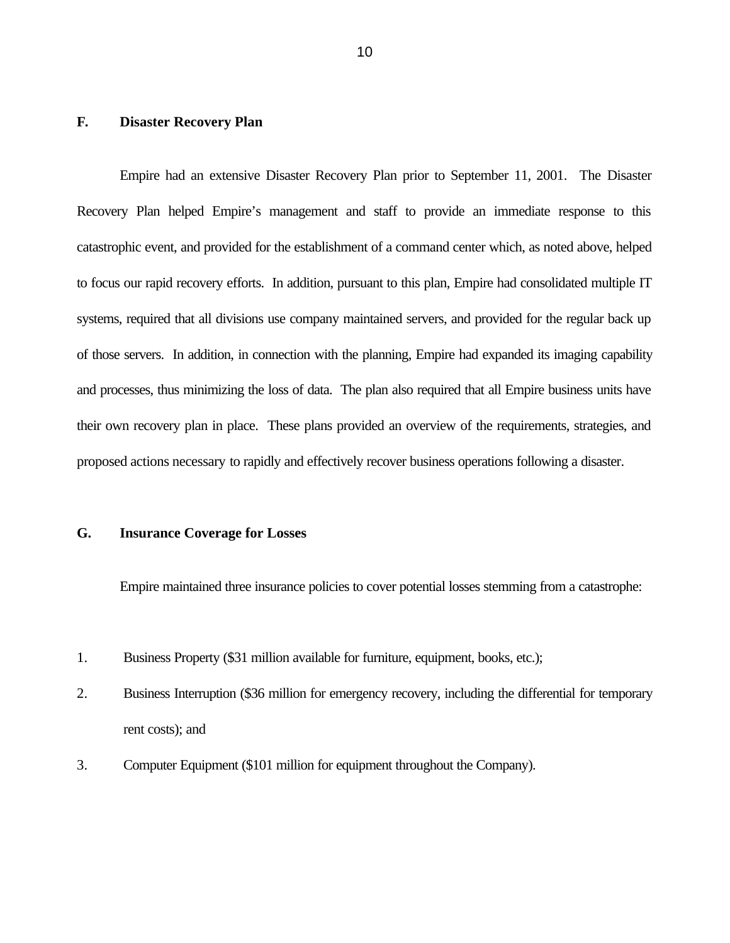## **F. Disaster Recovery Plan**

Empire had an extensive Disaster Recovery Plan prior to September 11, 2001. The Disaster Recovery Plan helped Empire's management and staff to provide an immediate response to this catastrophic event, and provided for the establishment of a command center which, as noted above, helped to focus our rapid recovery efforts. In addition, pursuant to this plan, Empire had consolidated multiple IT systems, required that all divisions use company maintained servers, and provided for the regular back up of those servers. In addition, in connection with the planning, Empire had expanded its imaging capability and processes, thus minimizing the loss of data. The plan also required that all Empire business units have their own recovery plan in place. These plans provided an overview of the requirements, strategies, and proposed actions necessary to rapidly and effectively recover business operations following a disaster.

#### **G. Insurance Coverage for Losses**

Empire maintained three insurance policies to cover potential losses stemming from a catastrophe:

- 1. Business Property (\$31 million available for furniture, equipment, books, etc.);
- 2. Business Interruption (\$36 million for emergency recovery, including the differential for temporary rent costs); and
- 3. Computer Equipment (\$101 million for equipment throughout the Company).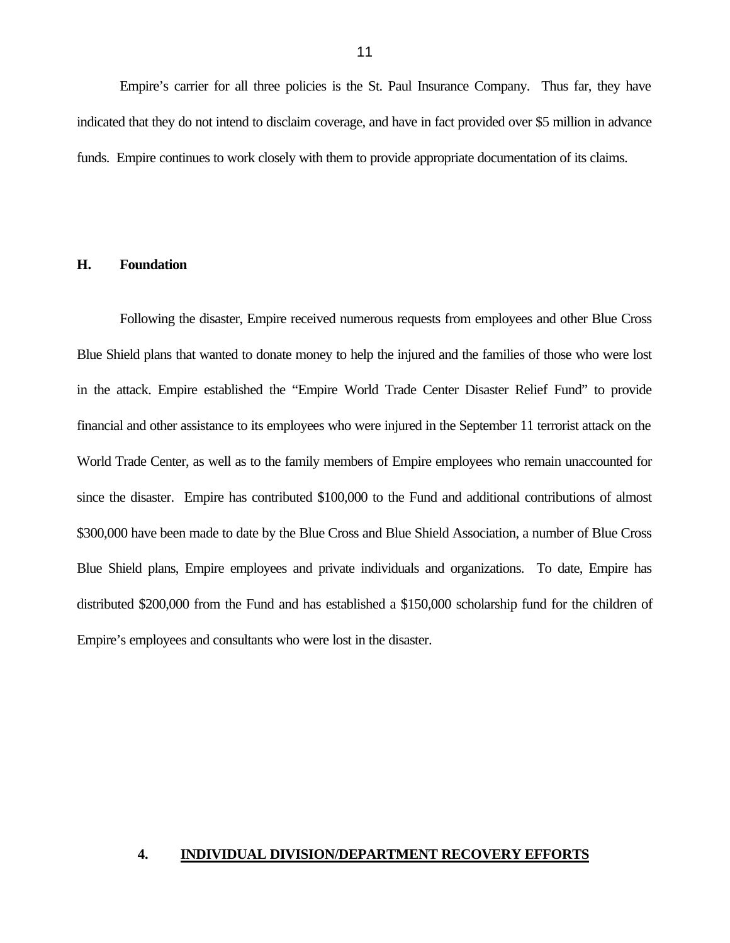Empire's carrier for all three policies is the St. Paul Insurance Company. Thus far, they have indicated that they do not intend to disclaim coverage, and have in fact provided over \$5 million in advance funds. Empire continues to work closely with them to provide appropriate documentation of its claims.

## **H. Foundation**

Following the disaster, Empire received numerous requests from employees and other Blue Cross Blue Shield plans that wanted to donate money to help the injured and the families of those who were lost in the attack. Empire established the "Empire World Trade Center Disaster Relief Fund" to provide financial and other assistance to its employees who were injured in the September 11 terrorist attack on the World Trade Center, as well as to the family members of Empire employees who remain unaccounted for since the disaster. Empire has contributed \$100,000 to the Fund and additional contributions of almost \$300,000 have been made to date by the Blue Cross and Blue Shield Association, a number of Blue Cross Blue Shield plans, Empire employees and private individuals and organizations. To date, Empire has distributed \$200,000 from the Fund and has established a \$150,000 scholarship fund for the children of Empire's employees and consultants who were lost in the disaster.

#### **4. INDIVIDUAL DIVISION/DEPARTMENT RECOVERY EFFORTS**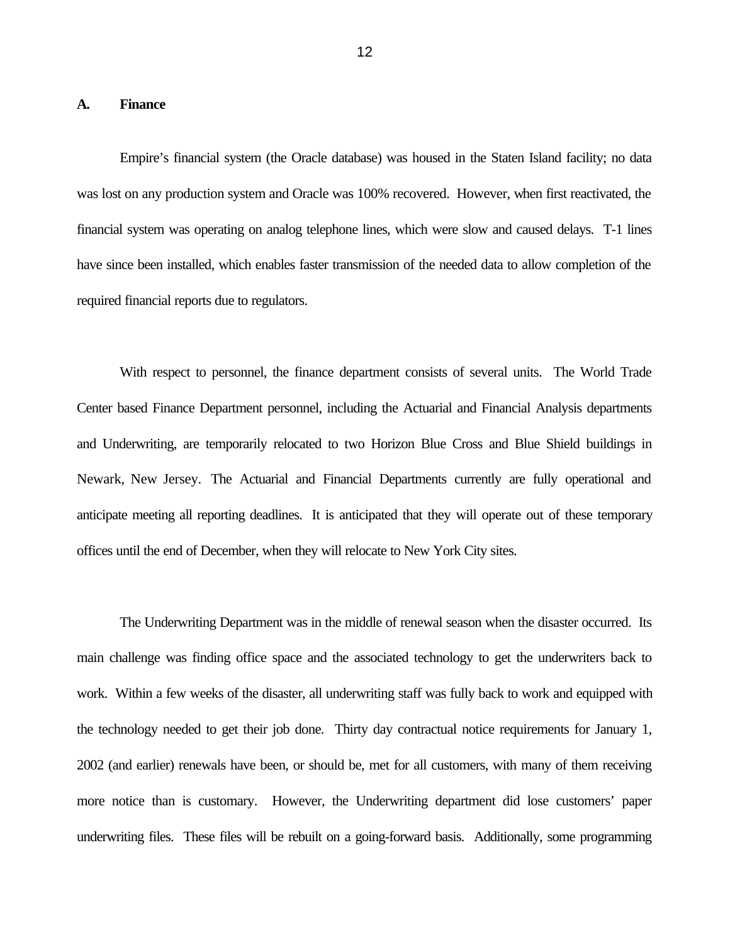#### **A. Finance**

Empire's financial system (the Oracle database) was housed in the Staten Island facility; no data was lost on any production system and Oracle was 100% recovered. However, when first reactivated, the financial system was operating on analog telephone lines, which were slow and caused delays. T-1 lines have since been installed, which enables faster transmission of the needed data to allow completion of the required financial reports due to regulators.

With respect to personnel, the finance department consists of several units. The World Trade Center based Finance Department personnel, including the Actuarial and Financial Analysis departments and Underwriting, are temporarily relocated to two Horizon Blue Cross and Blue Shield buildings in Newark, New Jersey. The Actuarial and Financial Departments currently are fully operational and anticipate meeting all reporting deadlines. It is anticipated that they will operate out of these temporary offices until the end of December, when they will relocate to New York City sites.

The Underwriting Department was in the middle of renewal season when the disaster occurred. Its main challenge was finding office space and the associated technology to get the underwriters back to work. Within a few weeks of the disaster, all underwriting staff was fully back to work and equipped with the technology needed to get their job done. Thirty day contractual notice requirements for January 1, 2002 (and earlier) renewals have been, or should be, met for all customers, with many of them receiving more notice than is customary. However, the Underwriting department did lose customers' paper underwriting files. These files will be rebuilt on a going-forward basis. Additionally, some programming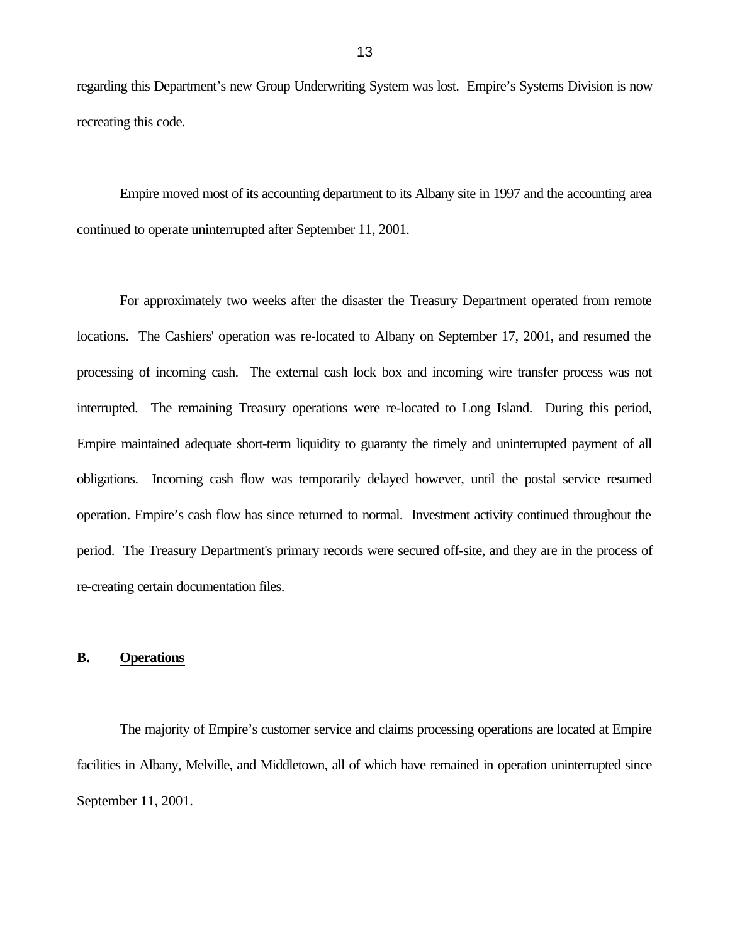regarding this Department's new Group Underwriting System was lost. Empire's Systems Division is now recreating this code.

Empire moved most of its accounting department to its Albany site in 1997 and the accounting area continued to operate uninterrupted after September 11, 2001.

For approximately two weeks after the disaster the Treasury Department operated from remote locations. The Cashiers' operation was re-located to Albany on September 17, 2001, and resumed the processing of incoming cash. The external cash lock box and incoming wire transfer process was not interrupted. The remaining Treasury operations were re-located to Long Island. During this period, Empire maintained adequate short-term liquidity to guaranty the timely and uninterrupted payment of all obligations. Incoming cash flow was temporarily delayed however, until the postal service resumed operation. Empire's cash flow has since returned to normal. Investment activity continued throughout the period. The Treasury Department's primary records were secured off-site, and they are in the process of re-creating certain documentation files.

#### **B. Operations**

The majority of Empire's customer service and claims processing operations are located at Empire facilities in Albany, Melville, and Middletown, all of which have remained in operation uninterrupted since September 11, 2001.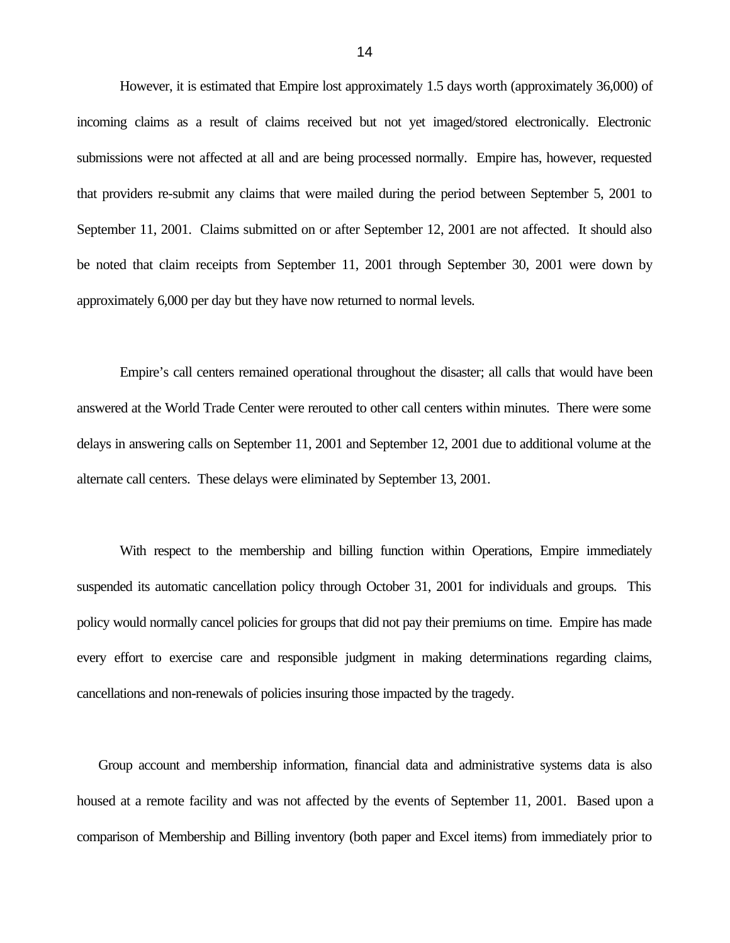However, it is estimated that Empire lost approximately 1.5 days worth (approximately 36,000) of incoming claims as a result of claims received but not yet imaged/stored electronically. Electronic submissions were not affected at all and are being processed normally. Empire has, however, requested that providers re-submit any claims that were mailed during the period between September 5, 2001 to September 11, 2001. Claims submitted on or after September 12, 2001 are not affected. It should also be noted that claim receipts from September 11, 2001 through September 30, 2001 were down by approximately 6,000 per day but they have now returned to normal levels.

Empire's call centers remained operational throughout the disaster; all calls that would have been answered at the World Trade Center were rerouted to other call centers within minutes. There were some delays in answering calls on September 11, 2001 and September 12, 2001 due to additional volume at the alternate call centers. These delays were eliminated by September 13, 2001.

With respect to the membership and billing function within Operations, Empire immediately suspended its automatic cancellation policy through October 31, 2001 for individuals and groups. This policy would normally cancel policies for groups that did not pay their premiums on time. Empire has made every effort to exercise care and responsible judgment in making determinations regarding claims, cancellations and non-renewals of policies insuring those impacted by the tragedy.

Group account and membership information, financial data and administrative systems data is also housed at a remote facility and was not affected by the events of September 11, 2001. Based upon a comparison of Membership and Billing inventory (both paper and Excel items) from immediately prior to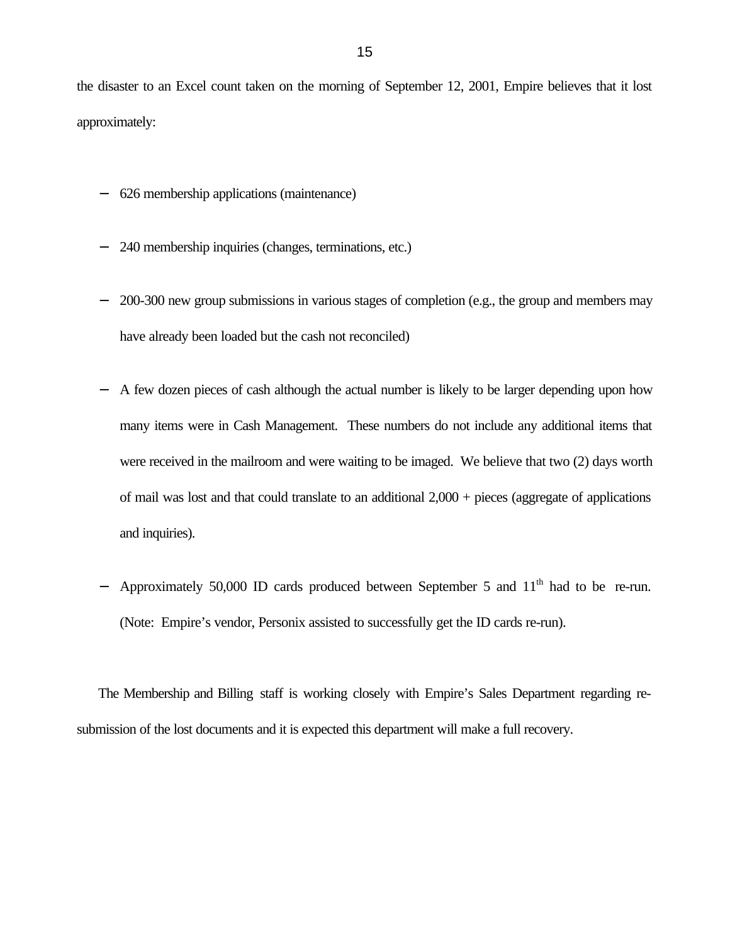the disaster to an Excel count taken on the morning of September 12, 2001, Empire believes that it lost approximately:

- 626 membership applications (maintenance)
- 240 membership inquiries (changes, terminations, etc.)
- 200-300 new group submissions in various stages of completion (e.g., the group and members may have already been loaded but the cash not reconciled)
- A few dozen pieces of cash although the actual number is likely to be larger depending upon how many items were in Cash Management. These numbers do not include any additional items that were received in the mailroom and were waiting to be imaged. We believe that two (2) days worth of mail was lost and that could translate to an additional  $2,000 +$  pieces (aggregate of applications and inquiries).
- Approximately 50,000 ID cards produced between September 5 and  $11<sup>th</sup>$  had to be re-run. (Note: Empire's vendor, Personix assisted to successfully get the ID cards re-run).

The Membership and Billing staff is working closely with Empire's Sales Department regarding resubmission of the lost documents and it is expected this department will make a full recovery.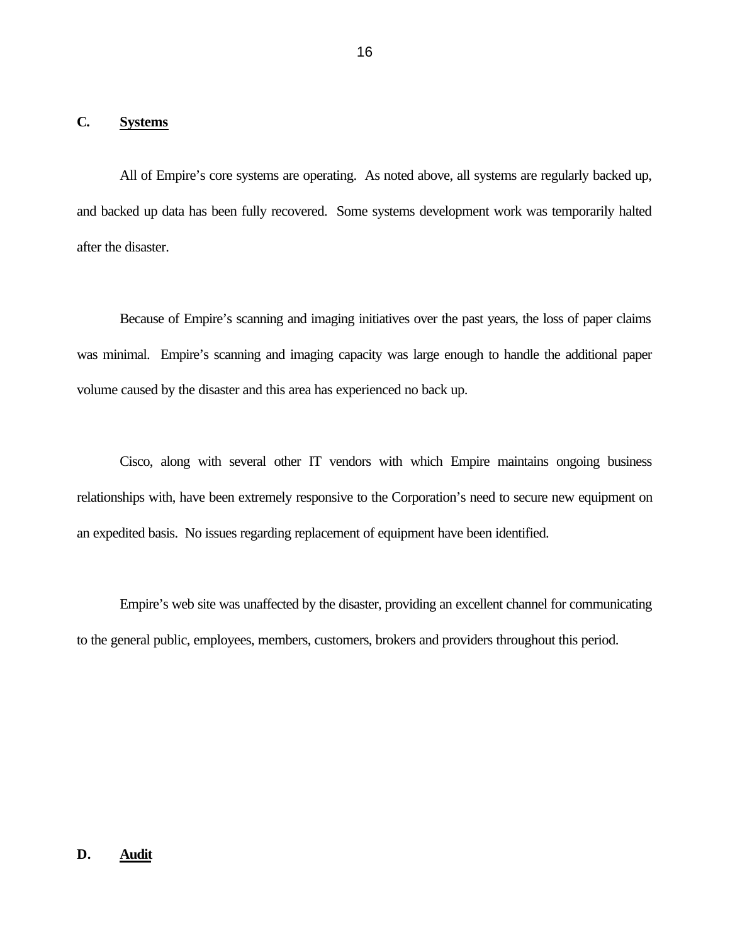## **C. Systems**

All of Empire's core systems are operating. As noted above, all systems are regularly backed up, and backed up data has been fully recovered. Some systems development work was temporarily halted after the disaster.

Because of Empire's scanning and imaging initiatives over the past years, the loss of paper claims was minimal. Empire's scanning and imaging capacity was large enough to handle the additional paper volume caused by the disaster and this area has experienced no back up.

Cisco, along with several other IT vendors with which Empire maintains ongoing business relationships with, have been extremely responsive to the Corporation's need to secure new equipment on an expedited basis. No issues regarding replacement of equipment have been identified.

Empire's web site was unaffected by the disaster, providing an excellent channel for communicating to the general public, employees, members, customers, brokers and providers throughout this period.

# **D. Audit**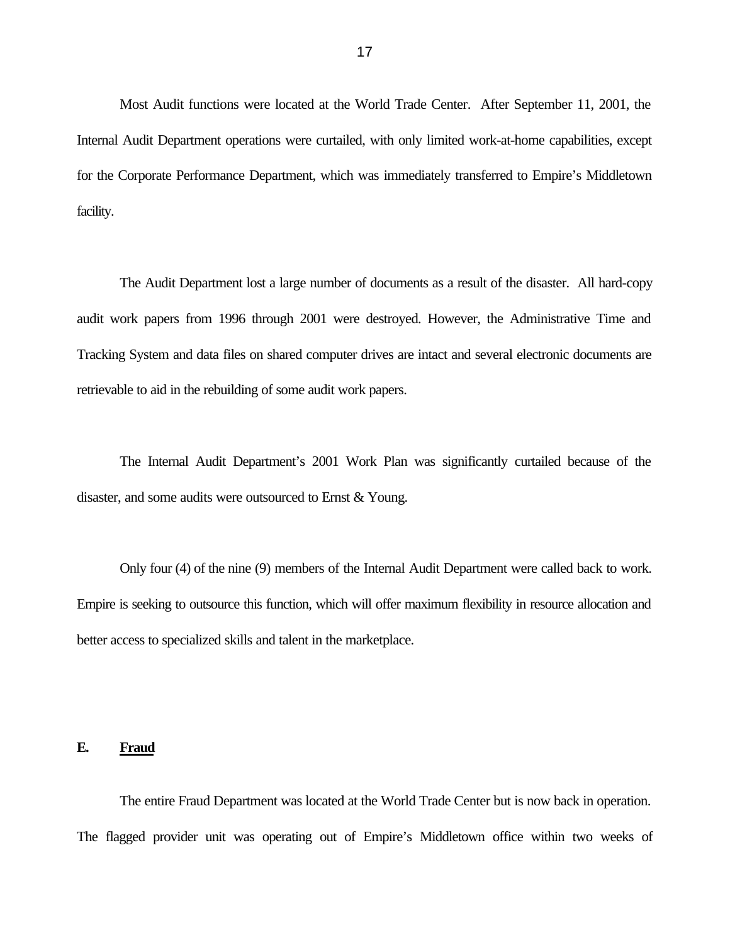Most Audit functions were located at the World Trade Center. After September 11, 2001, the Internal Audit Department operations were curtailed, with only limited work-at-home capabilities, except for the Corporate Performance Department, which was immediately transferred to Empire's Middletown facility.

The Audit Department lost a large number of documents as a result of the disaster. All hard-copy audit work papers from 1996 through 2001 were destroyed. However, the Administrative Time and Tracking System and data files on shared computer drives are intact and several electronic documents are retrievable to aid in the rebuilding of some audit work papers.

The Internal Audit Department's 2001 Work Plan was significantly curtailed because of the disaster, and some audits were outsourced to Ernst & Young.

Only four (4) of the nine (9) members of the Internal Audit Department were called back to work. Empire is seeking to outsource this function, which will offer maximum flexibility in resource allocation and better access to specialized skills and talent in the marketplace.

## **E. Fraud**

The entire Fraud Department was located at the World Trade Center but is now back in operation. The flagged provider unit was operating out of Empire's Middletown office within two weeks of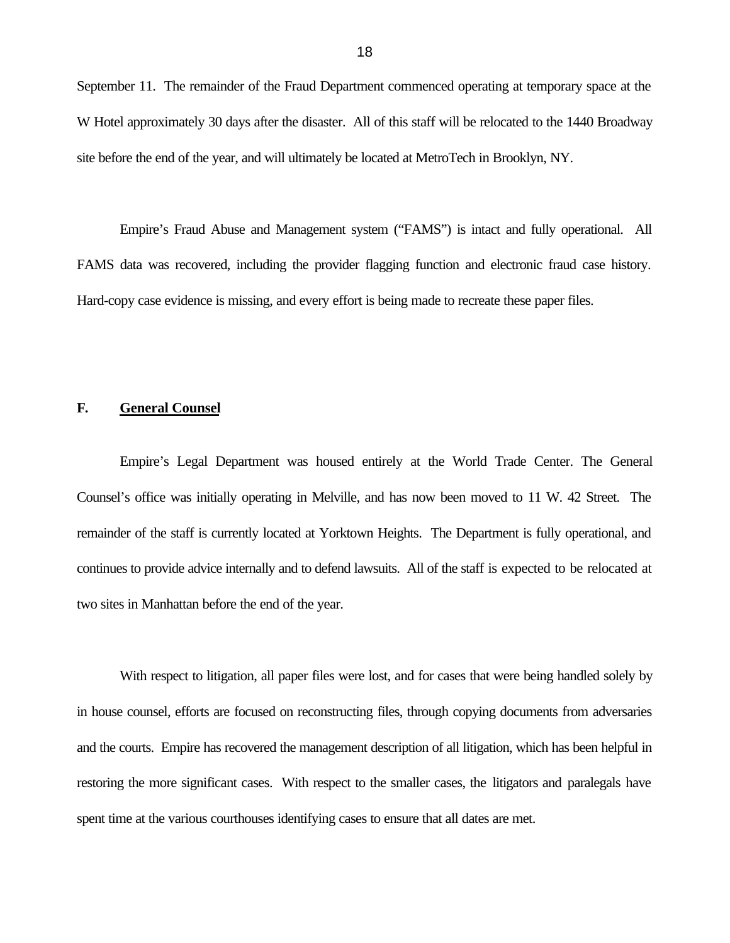September 11. The remainder of the Fraud Department commenced operating at temporary space at the W Hotel approximately 30 days after the disaster. All of this staff will be relocated to the 1440 Broadway site before the end of the year, and will ultimately be located at MetroTech in Brooklyn, NY.

Empire's Fraud Abuse and Management system ("FAMS") is intact and fully operational. All FAMS data was recovered, including the provider flagging function and electronic fraud case history. Hard-copy case evidence is missing, and every effort is being made to recreate these paper files.

## **F. General Counsel**

Empire's Legal Department was housed entirely at the World Trade Center. The General Counsel's office was initially operating in Melville, and has now been moved to 11 W. 42 Street. The remainder of the staff is currently located at Yorktown Heights. The Department is fully operational, and continues to provide advice internally and to defend lawsuits. All of the staff is expected to be relocated at two sites in Manhattan before the end of the year.

With respect to litigation, all paper files were lost, and for cases that were being handled solely by in house counsel, efforts are focused on reconstructing files, through copying documents from adversaries and the courts. Empire has recovered the management description of all litigation, which has been helpful in restoring the more significant cases. With respect to the smaller cases, the litigators and paralegals have spent time at the various courthouses identifying cases to ensure that all dates are met.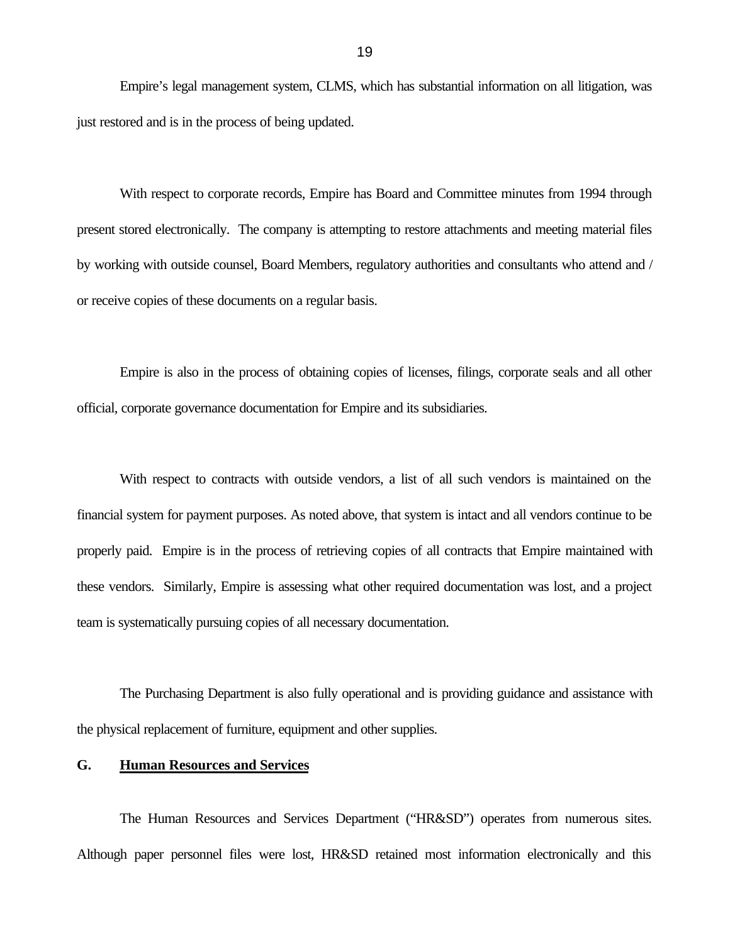Empire's legal management system, CLMS, which has substantial information on all litigation, was just restored and is in the process of being updated.

With respect to corporate records, Empire has Board and Committee minutes from 1994 through present stored electronically. The company is attempting to restore attachments and meeting material files by working with outside counsel, Board Members, regulatory authorities and consultants who attend and / or receive copies of these documents on a regular basis.

Empire is also in the process of obtaining copies of licenses, filings, corporate seals and all other official, corporate governance documentation for Empire and its subsidiaries.

With respect to contracts with outside vendors, a list of all such vendors is maintained on the financial system for payment purposes. As noted above, that system is intact and all vendors continue to be properly paid. Empire is in the process of retrieving copies of all contracts that Empire maintained with these vendors. Similarly, Empire is assessing what other required documentation was lost, and a project team is systematically pursuing copies of all necessary documentation.

The Purchasing Department is also fully operational and is providing guidance and assistance with the physical replacement of furniture, equipment and other supplies.

#### **G. Human Resources and Services**

The Human Resources and Services Department ("HR&SD") operates from numerous sites. Although paper personnel files were lost, HR&SD retained most information electronically and this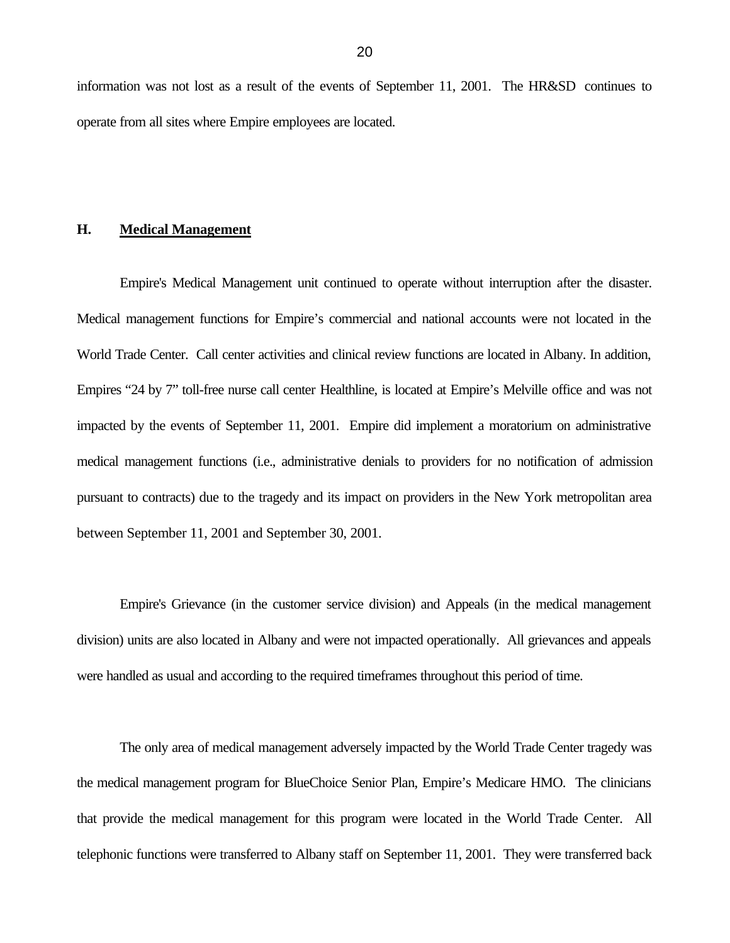information was not lost as a result of the events of September 11, 2001. The HR&SD continues to operate from all sites where Empire employees are located.

#### **H. Medical Management**

Empire's Medical Management unit continued to operate without interruption after the disaster. Medical management functions for Empire's commercial and national accounts were not located in the World Trade Center. Call center activities and clinical review functions are located in Albany. In addition, Empires "24 by 7" toll-free nurse call center Healthline, is located at Empire's Melville office and was not impacted by the events of September 11, 2001. Empire did implement a moratorium on administrative medical management functions (i.e., administrative denials to providers for no notification of admission pursuant to contracts) due to the tragedy and its impact on providers in the New York metropolitan area between September 11, 2001 and September 30, 2001.

Empire's Grievance (in the customer service division) and Appeals (in the medical management division) units are also located in Albany and were not impacted operationally. All grievances and appeals were handled as usual and according to the required timeframes throughout this period of time.

The only area of medical management adversely impacted by the World Trade Center tragedy was the medical management program for BlueChoice Senior Plan, Empire's Medicare HMO. The clinicians that provide the medical management for this program were located in the World Trade Center. All telephonic functions were transferred to Albany staff on September 11, 2001. They were transferred back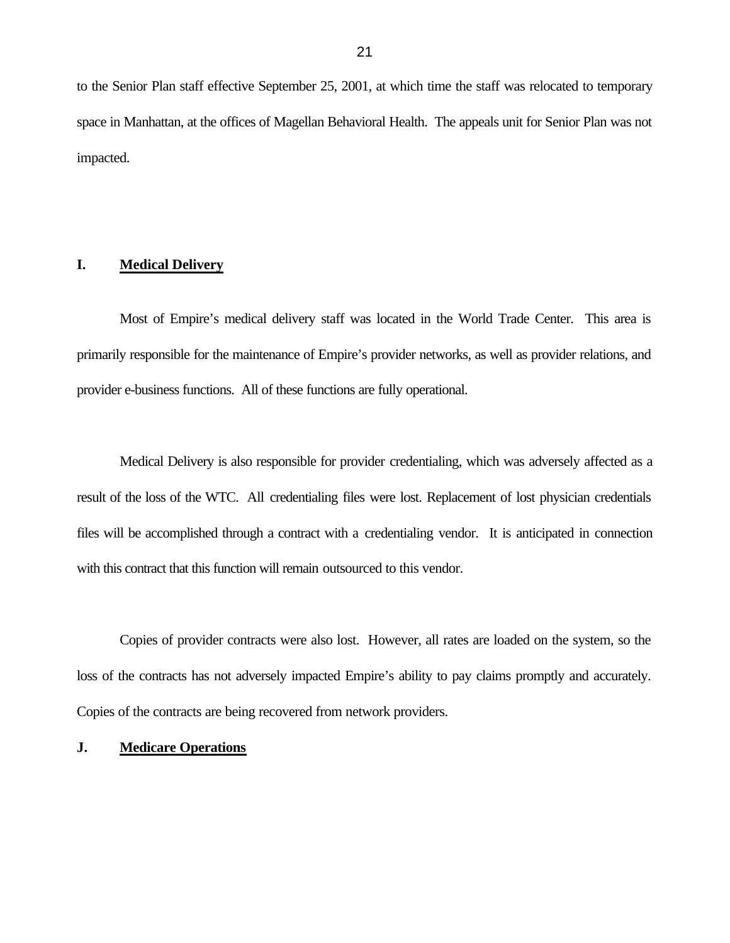to the Senior Plan staff effective September 25, 2001, at which time the staff was relocated to temporary space in Manhattan, at the offices of Magellan Behavioral Health. The appeals unit for Senior Plan was not impacted.

## **I. Medical Delivery**

Most of Empire's medical delivery staff was located in the World Trade Center. This area is primarily responsible for the maintenance of Empire's provider networks, as well as provider relations, and provider e-business functions. All of these functions are fully operational.

Medical Delivery is also responsible for provider credentialing, which was adversely affected as a result of the loss of the WTC. All credentialing files were lost. Replacement of lost physician credentials files will be accomplished through a contract with a credentialing vendor. It is anticipated in connection with this contract that this function will remain outsourced to this vendor.

Copies of provider contracts were also lost. However, all rates are loaded on the system, so the loss of the contracts has not adversely impacted Empire's ability to pay claims promptly and accurately. Copies of the contracts are being recovered from network providers.

#### **J. Medicare Operations**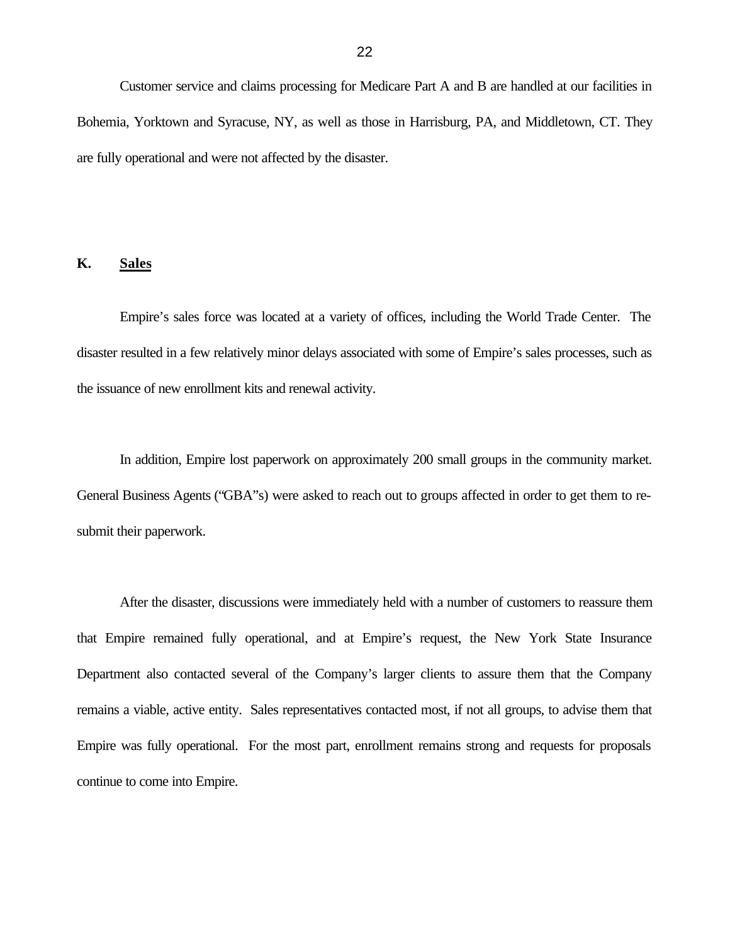Customer service and claims processing for Medicare Part A and B are handled at our facilities in Bohemia, Yorktown and Syracuse, NY, as well as those in Harrisburg, PA, and Middletown, CT. They are fully operational and were not affected by the disaster.

## **K. Sales**

Empire's sales force was located at a variety of offices, including the World Trade Center. The disaster resulted in a few relatively minor delays associated with some of Empire's sales processes, such as the issuance of new enrollment kits and renewal activity.

In addition, Empire lost paperwork on approximately 200 small groups in the community market. General Business Agents ("GBA"s) were asked to reach out to groups affected in order to get them to resubmit their paperwork.

After the disaster, discussions were immediately held with a number of customers to reassure them that Empire remained fully operational, and at Empire's request, the New York State Insurance Department also contacted several of the Company's larger clients to assure them that the Company remains a viable, active entity. Sales representatives contacted most, if not all groups, to advise them that Empire was fully operational. For the most part, enrollment remains strong and requests for proposals continue to come into Empire.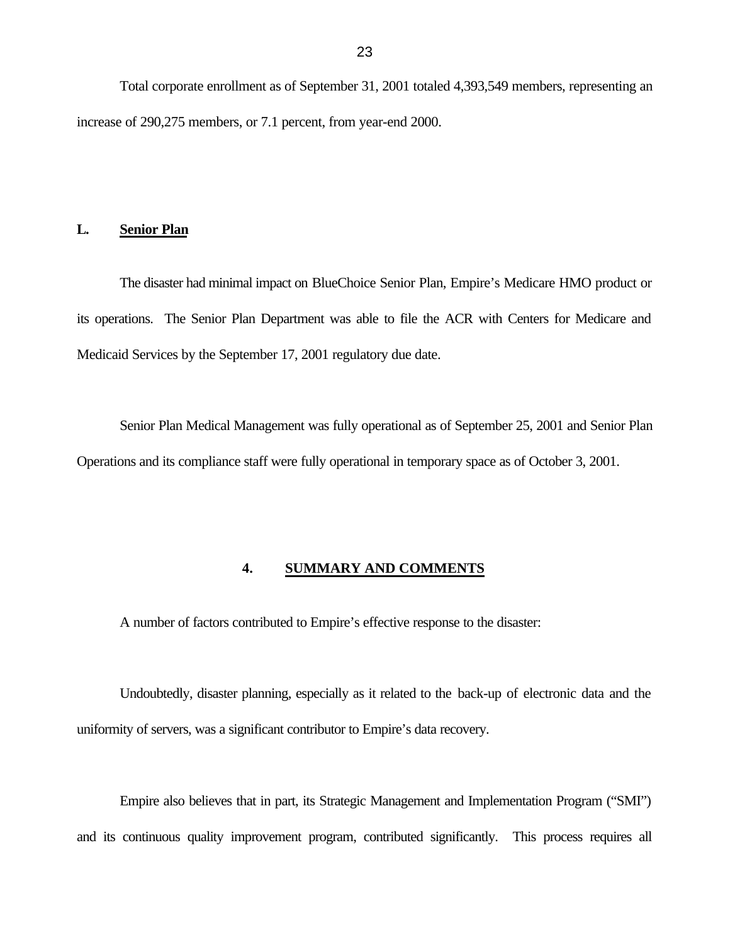Total corporate enrollment as of September 31, 2001 totaled 4,393,549 members, representing an increase of 290,275 members, or 7.1 percent, from year-end 2000.

#### **L. Senior Plan**

The disaster had minimal impact on BlueChoice Senior Plan, Empire's Medicare HMO product or its operations. The Senior Plan Department was able to file the ACR with Centers for Medicare and Medicaid Services by the September 17, 2001 regulatory due date.

Senior Plan Medical Management was fully operational as of September 25, 2001 and Senior Plan Operations and its compliance staff were fully operational in temporary space as of October 3, 2001.

## **4. SUMMARY AND COMMENTS**

A number of factors contributed to Empire's effective response to the disaster:

Undoubtedly, disaster planning, especially as it related to the back-up of electronic data and the uniformity of servers, was a significant contributor to Empire's data recovery.

Empire also believes that in part, its Strategic Management and Implementation Program ("SMI") and its continuous quality improvement program, contributed significantly. This process requires all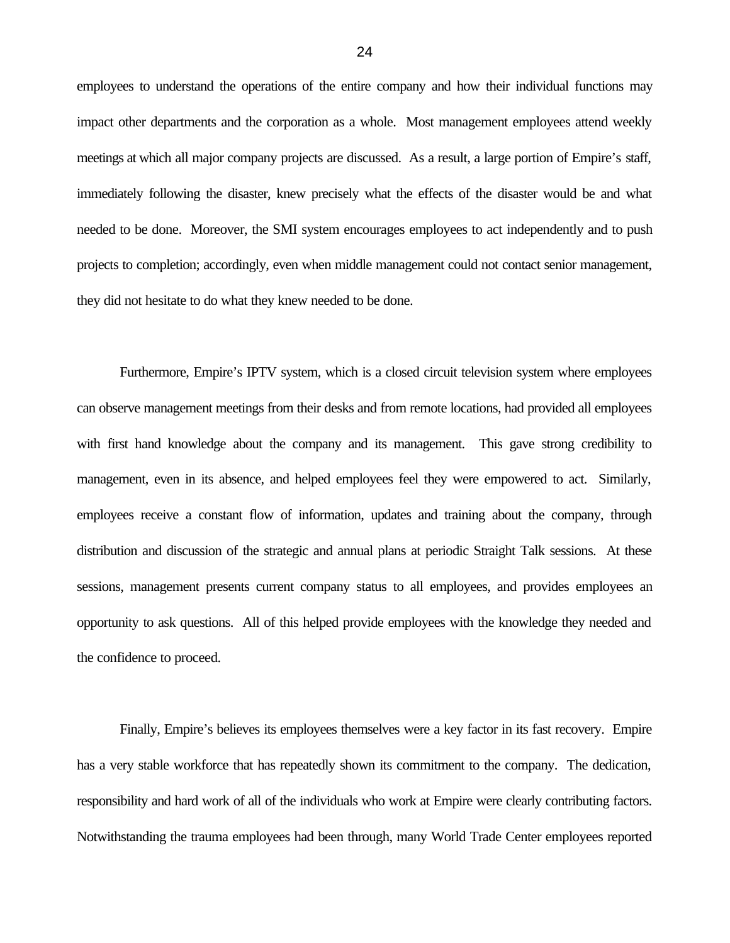employees to understand the operations of the entire company and how their individual functions may impact other departments and the corporation as a whole. Most management employees attend weekly meetings at which all major company projects are discussed. As a result, a large portion of Empire's staff, immediately following the disaster, knew precisely what the effects of the disaster would be and what needed to be done. Moreover, the SMI system encourages employees to act independently and to push projects to completion; accordingly, even when middle management could not contact senior management, they did not hesitate to do what they knew needed to be done.

Furthermore, Empire's IPTV system, which is a closed circuit television system where employees can observe management meetings from their desks and from remote locations, had provided all employees with first hand knowledge about the company and its management. This gave strong credibility to management, even in its absence, and helped employees feel they were empowered to act. Similarly, employees receive a constant flow of information, updates and training about the company, through distribution and discussion of the strategic and annual plans at periodic Straight Talk sessions. At these sessions, management presents current company status to all employees, and provides employees an opportunity to ask questions. All of this helped provide employees with the knowledge they needed and the confidence to proceed.

Finally, Empire's believes its employees themselves were a key factor in its fast recovery. Empire has a very stable workforce that has repeatedly shown its commitment to the company. The dedication, responsibility and hard work of all of the individuals who work at Empire were clearly contributing factors. Notwithstanding the trauma employees had been through, many World Trade Center employees reported